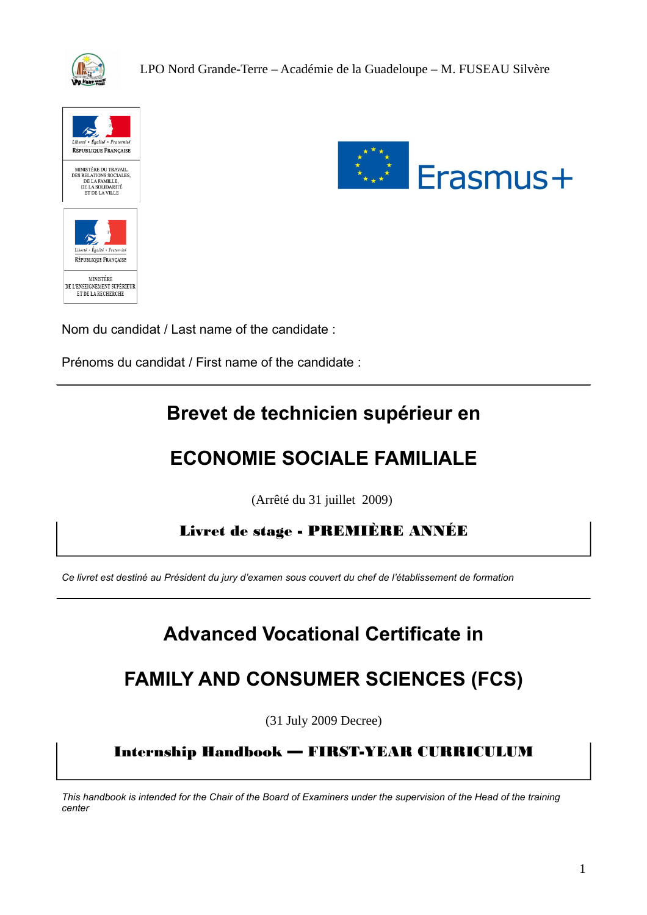





Nom du candidat / Last name of the candidate :

Prénoms du candidat / First name of the candidate :

## **Brevet de technicien supérieur en**

# **ECONOMIE SOCIALE FAMILIALE**

(Arrêté du 31 juillet 2009)

Livret de stage - PREMIÈRE ANNÉE

*Ce livret est destiné au Président du jury d'examen sous couvert du chef de l'établissement de formation*

# **Advanced Vocational Certificate in**

# **FAMILY AND CONSUMER SCIENCES (FCS)**

(31 July 2009 Decree)

Internship Handbook — FIRST-YEAR CURRICULUM

*This handbook is intended for the Chair of the Board of Examiners under the supervision of the Head of the training center*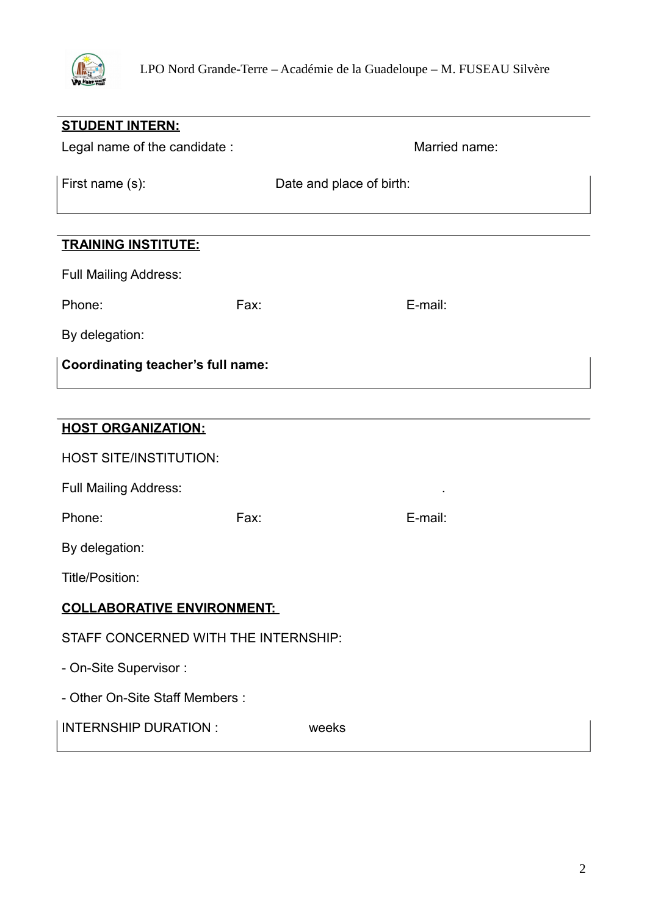

| <b>STUDENT INTERN:</b>                   |                          |               |
|------------------------------------------|--------------------------|---------------|
| Legal name of the candidate :            |                          | Married name: |
| First name (s):                          | Date and place of birth: |               |
| <b>TRAINING INSTITUTE:</b>               |                          |               |
| <b>Full Mailing Address:</b>             |                          |               |
| Phone:                                   | Fax:                     | E-mail:       |
| By delegation:                           |                          |               |
| <b>Coordinating teacher's full name:</b> |                          |               |
|                                          |                          |               |
| <b>HOST ORGANIZATION:</b>                |                          |               |
| <b>HOST SITE/INSTITUTION:</b>            |                          |               |
| <b>Full Mailing Address:</b>             |                          |               |
| Phone:                                   | Fax:                     | E-mail:       |
| By delegation:                           |                          |               |
| Title/Position:                          |                          |               |
| COLLABORATIVE ENVIRONMENT:               |                          |               |
| STAFF CONCERNED WITH THE INTERNSHIP:     |                          |               |
| - On-Site Supervisor:                    |                          |               |
| - Other On-Site Staff Members :          |                          |               |
| <b>INTERNSHIP DURATION:</b>              | weeks                    |               |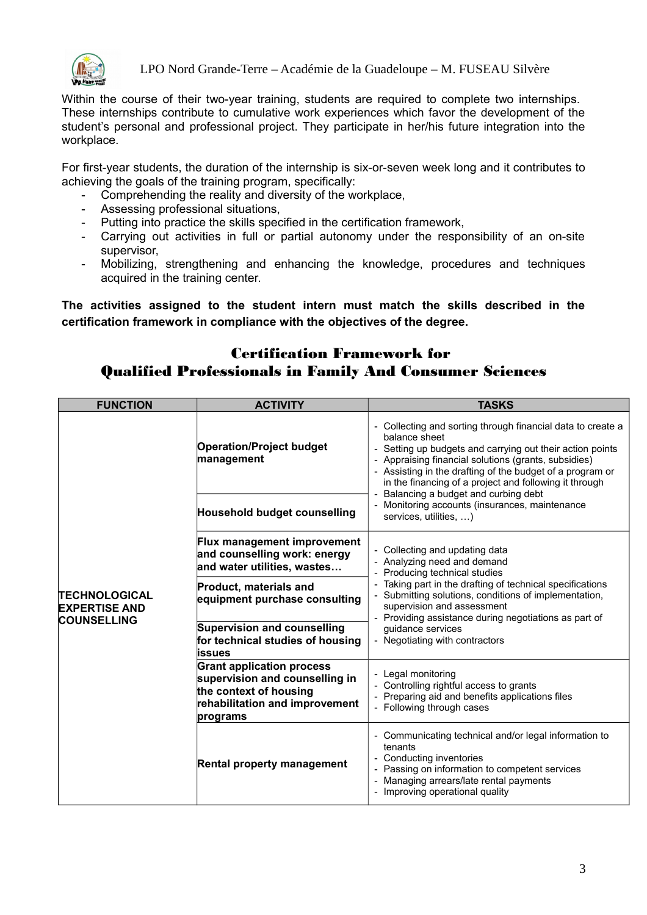

LPO Nord Grande-Terre – Académie de la Guadeloupe – M. FUSEAU Silvère

Within the course of their two-year training, students are required to complete two internships. These internships contribute to cumulative work experiences which favor the development of the student's personal and professional project. They participate in her/his future integration into the workplace.

For first-year students, the duration of the internship is six-or-seven week long and it contributes to achieving the goals of the training program, specifically:

- Comprehending the reality and diversity of the workplace,
- Assessing professional situations,
- Putting into practice the skills specified in the certification framework,
- Carrying out activities in full or partial autonomy under the responsibility of an on-site supervisor,
- Mobilizing, strengthening and enhancing the knowledge, procedures and techniques acquired in the training center.

**The activities assigned to the student intern must match the skills described in the certification framework in compliance with the objectives of the degree.**

## Certification Framework for Qualified Professionals in Family And Consumer Sciences

| <b>FUNCTION</b>                                                    | <b>ACTIVITY</b>                                                                                                                            | <b>TASKS</b>                                                                                                                                                                                                                                                                                                                                                  |
|--------------------------------------------------------------------|--------------------------------------------------------------------------------------------------------------------------------------------|---------------------------------------------------------------------------------------------------------------------------------------------------------------------------------------------------------------------------------------------------------------------------------------------------------------------------------------------------------------|
| <b>TECHNOLOGICAL</b><br><b>EXPERTISE AND</b><br><b>COUNSELLING</b> | <b>Operation/Project budget</b><br>management                                                                                              | - Collecting and sorting through financial data to create a<br>balance sheet<br>- Setting up budgets and carrying out their action points<br>Appraising financial solutions (grants, subsidies)<br>- Assisting in the drafting of the budget of a program or<br>in the financing of a project and following it through<br>Balancing a budget and curbing debt |
|                                                                    | <b>Household budget counselling</b>                                                                                                        | Monitoring accounts (insurances, maintenance<br>services, utilities, )                                                                                                                                                                                                                                                                                        |
|                                                                    | <b>Flux management improvement</b><br>and counselling work: energy<br>and water utilities, wastes                                          | - Collecting and updating data<br>- Analyzing need and demand<br>Producing technical studies                                                                                                                                                                                                                                                                  |
|                                                                    | <b>Product, materials and</b><br>equipment purchase consulting                                                                             | Taking part in the drafting of technical specifications<br>Submitting solutions, conditions of implementation,<br>supervision and assessment<br>- Providing assistance during negotiations as part of                                                                                                                                                         |
|                                                                    | <b>Supervision and counselling</b><br>for technical studies of housing<br>issues                                                           | guidance services<br>- Negotiating with contractors                                                                                                                                                                                                                                                                                                           |
|                                                                    | <b>Grant application process</b><br>supervision and counselling in<br>the context of housing<br>rehabilitation and improvement<br>programs | Legal monitoring<br>Controlling rightful access to grants<br>Preparing aid and benefits applications files<br>Following through cases                                                                                                                                                                                                                         |
|                                                                    | <b>Rental property management</b>                                                                                                          | Communicating technical and/or legal information to<br>tenants<br>Conducting inventories<br>Passing on information to competent services<br>Managing arrears/late rental payments<br>Improving operational quality                                                                                                                                            |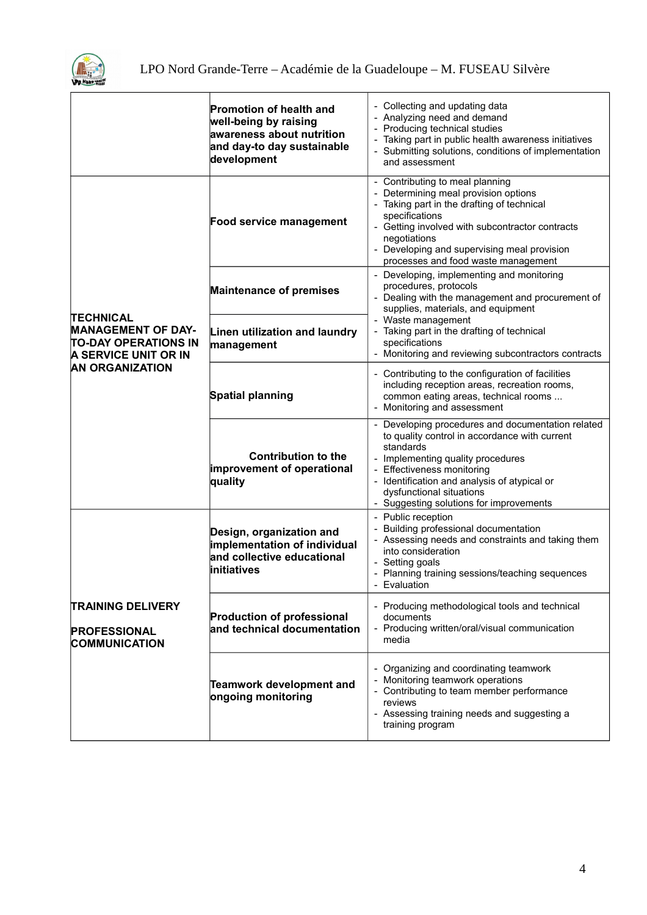

|                                                                                                                                | <b>Promotion of health and</b><br>well-being by raising<br>awareness about nutrition<br>and day-to day sustainable<br>development | - Collecting and updating data<br>- Analyzing need and demand<br>- Producing technical studies<br>Taking part in public health awareness initiatives<br>- Submitting solutions, conditions of implementation<br>and assessment                                                                            |
|--------------------------------------------------------------------------------------------------------------------------------|-----------------------------------------------------------------------------------------------------------------------------------|-----------------------------------------------------------------------------------------------------------------------------------------------------------------------------------------------------------------------------------------------------------------------------------------------------------|
| <b>TECHNICAL</b><br><b>MANAGEMENT OF DAY-</b><br><b>TO-DAY OPERATIONS IN</b><br>A SERVICE UNIT OR IN<br><b>AN ORGANIZATION</b> | Food service management                                                                                                           | - Contributing to meal planning<br>- Determining meal provision options<br>- Taking part in the drafting of technical<br>specifications<br>- Getting involved with subcontractor contracts<br>negotiations<br>- Developing and supervising meal provision<br>processes and food waste management          |
|                                                                                                                                | <b>Maintenance of premises</b>                                                                                                    | - Developing, implementing and monitoring<br>procedures, protocols<br>- Dealing with the management and procurement of<br>supplies, materials, and equipment<br>- Waste management                                                                                                                        |
|                                                                                                                                | Linen utilization and laundry<br>management                                                                                       | - Taking part in the drafting of technical<br>specifications<br>- Monitoring and reviewing subcontractors contracts                                                                                                                                                                                       |
|                                                                                                                                | <b>Spatial planning</b>                                                                                                           | - Contributing to the configuration of facilities<br>including reception areas, recreation rooms,<br>common eating areas, technical rooms<br>- Monitoring and assessment                                                                                                                                  |
|                                                                                                                                | <b>Contribution to the</b><br>improvement of operational<br>quality                                                               | - Developing procedures and documentation related<br>to quality control in accordance with current<br>standards<br>- Implementing quality procedures<br>- Effectiveness monitoring<br>- Identification and analysis of atypical or<br>dysfunctional situations<br>- Suggesting solutions for improvements |
|                                                                                                                                | Design, organization and<br>implementation of individual<br>and collective educational<br>initiatives                             | - Public reception<br>Building professional documentation<br>- Assessing needs and constraints and taking them<br>into consideration<br>- Setting goals<br>- Planning training sessions/teaching sequences<br>Evaluation                                                                                  |
| <b>TRAINING DELIVERY</b><br><b>PROFESSIONAL</b><br><b>COMMUNICATION</b>                                                        | <b>Production of professional</b><br>and technical documentation                                                                  | - Producing methodological tools and technical<br>documents<br>- Producing written/oral/visual communication<br>media                                                                                                                                                                                     |
|                                                                                                                                | <b>Teamwork development and</b><br>ongoing monitoring                                                                             | - Organizing and coordinating teamwork<br>- Monitoring teamwork operations<br>- Contributing to team member performance<br>reviews<br>- Assessing training needs and suggesting a<br>training program                                                                                                     |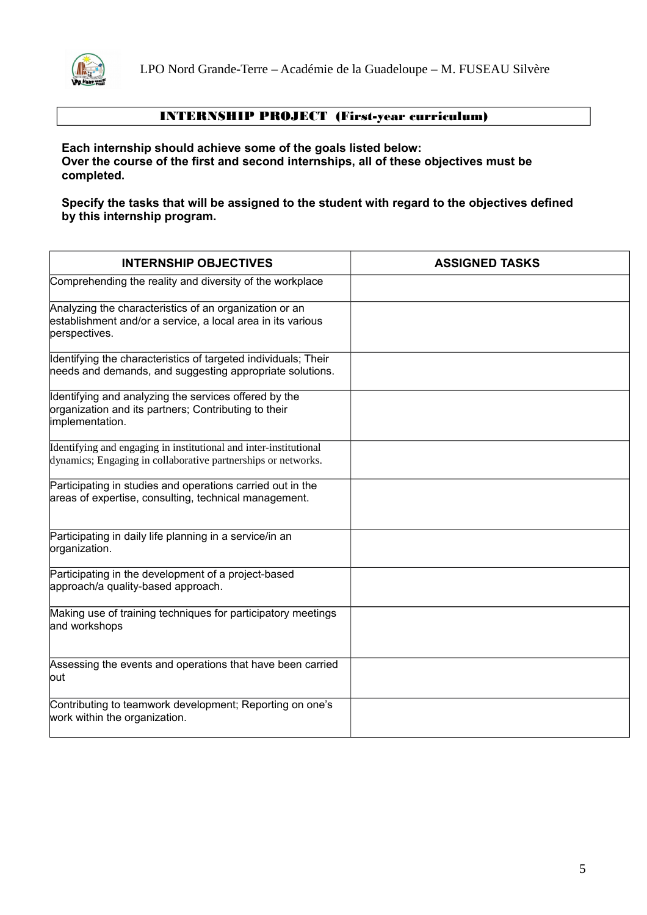

### INTERNSHIP PROJECT (First-year curriculum)

**Each internship should achieve some of the goals listed below: Over the course of the first and second internships, all of these objectives must be completed.**

**Specify the tasks that will be assigned to the student with regard to the objectives defined by this internship program.**

| <b>INTERNSHIP OBJECTIVES</b>                                                                                                           | <b>ASSIGNED TASKS</b> |
|----------------------------------------------------------------------------------------------------------------------------------------|-----------------------|
| Comprehending the reality and diversity of the workplace                                                                               |                       |
| Analyzing the characteristics of an organization or an<br>establishment and/or a service, a local area in its various<br>perspectives. |                       |
| Identifying the characteristics of targeted individuals; Their<br>needs and demands, and suggesting appropriate solutions.             |                       |
| Identifying and analyzing the services offered by the<br>organization and its partners; Contributing to their<br>implementation.       |                       |
| Identifying and engaging in institutional and inter-institutional<br>dynamics; Engaging in collaborative partnerships or networks.     |                       |
| Participating in studies and operations carried out in the<br>areas of expertise, consulting, technical management.                    |                       |
| Participating in daily life planning in a service/in an<br>organization.                                                               |                       |
| Participating in the development of a project-based<br>approach/a quality-based approach.                                              |                       |
| Making use of training techniques for participatory meetings<br>and workshops                                                          |                       |
| Assessing the events and operations that have been carried<br>lout                                                                     |                       |
| Contributing to teamwork development; Reporting on one's<br>work within the organization.                                              |                       |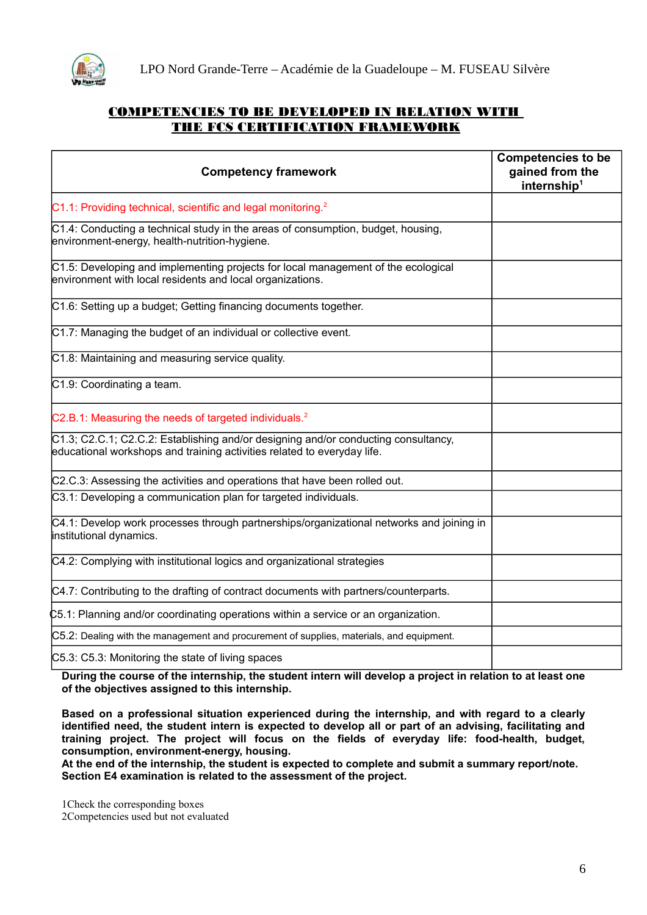

#### COMPETENCIES TO BE DEVELOPED IN RELATION WITH THE FCS CERTIFICATION FRAMEWORK

| <b>Competency framework</b>                                                                                                                                   | <b>Competencies to be</b><br>gained from the<br>internship <sup>1</sup> |
|---------------------------------------------------------------------------------------------------------------------------------------------------------------|-------------------------------------------------------------------------|
| C1.1: Providing technical, scientific and legal monitoring. <sup>2</sup>                                                                                      |                                                                         |
| C1.4: Conducting a technical study in the areas of consumption, budget, housing,<br>environment-energy, health-nutrition-hygiene.                             |                                                                         |
| C1.5: Developing and implementing projects for local management of the ecological<br>environment with local residents and local organizations.                |                                                                         |
| C1.6: Setting up a budget; Getting financing documents together.                                                                                              |                                                                         |
| C1.7: Managing the budget of an individual or collective event.                                                                                               |                                                                         |
| C1.8: Maintaining and measuring service quality.                                                                                                              |                                                                         |
| C1.9: Coordinating a team.                                                                                                                                    |                                                                         |
| C2.B.1: Measuring the needs of targeted individuals. <sup>2</sup>                                                                                             |                                                                         |
| C1.3; C2.C.1; C2.C.2: Establishing and/or designing and/or conducting consultancy,<br>educational workshops and training activities related to everyday life. |                                                                         |
| C2.C.3: Assessing the activities and operations that have been rolled out.                                                                                    |                                                                         |
| C3.1: Developing a communication plan for targeted individuals.                                                                                               |                                                                         |
| C4.1: Develop work processes through partnerships/organizational networks and joining in<br>institutional dynamics.                                           |                                                                         |
| C4.2: Complying with institutional logics and organizational strategies                                                                                       |                                                                         |
| C4.7: Contributing to the drafting of contract documents with partners/counterparts.                                                                          |                                                                         |
| C5.1: Planning and/or coordinating operations within a service or an organization.                                                                            |                                                                         |
| C5.2: Dealing with the management and procurement of supplies, materials, and equipment.                                                                      |                                                                         |
| C5.3: C5.3: Monitoring the state of living spaces                                                                                                             |                                                                         |

**During the course of the internship, the student intern will develop a project in relation to at least one of the objectives assigned to this internship.**

**Based on a professional situation experienced during the internship, and with regard to a clearly identified need, the student intern is expected to develop all or part of an advising, facilitating and training project. The project will focus on the fields of everyday life: food-health, budget, consumption, environment-energy, housing.**

**At the end of the internship, the student is expected to complete and submit a summary report/note. Section E4 examination is related to the assessment of the project.**

<span id="page-5-0"></span>1Check the corresponding boxes

<span id="page-5-1"></span>2Competencies used but not evaluated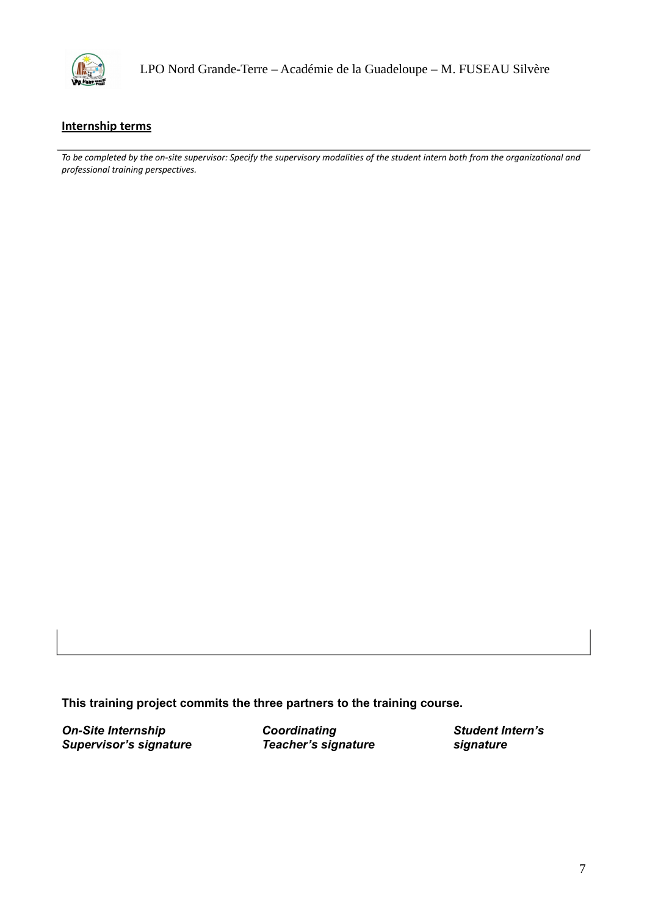

LPO Nord Grande-Terre – Académie de la Guadeloupe – M. FUSEAU Silvère

#### **Internship terms**

*To be completed by the on-site supervisor: Specify the supervisory modalities of the student intern both from the organizational and professional training perspectives.*

**This training project commits the three partners to the training course.**

**On-Site Internship Coordinating Condinating Student Intern's** *Supervisor's signature Teacher's signature signature*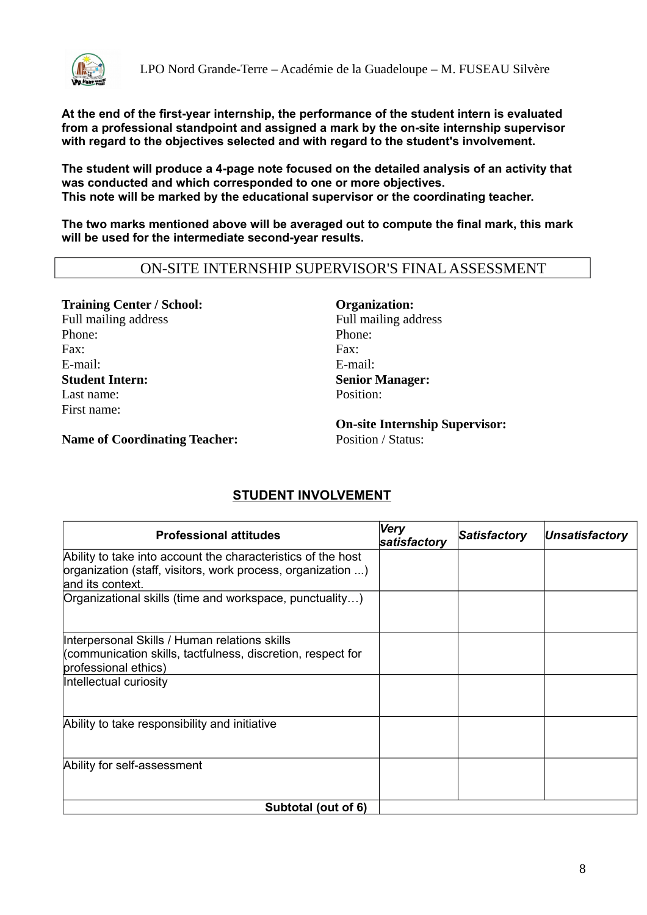

**At the end of the first-year internship, the performance of the student intern is evaluated from a professional standpoint and assigned a mark by the on-site internship supervisor with regard to the objectives selected and with regard to the student's involvement.**

**The student will produce a 4-page note focused on the detailed analysis of an activity that was conducted and which corresponded to one or more objectives. This note will be marked by the educational supervisor or the coordinating teacher.**

**The two marks mentioned above will be averaged out to compute the final mark, this mark will be used for the intermediate second-year results.**

### ON-SITE INTERNSHIP SUPERVISOR'S FINAL ASSESSMENT

**Training Center / School: Organization:** Full mailing address The South of Texas Full mailing address Phone: Phone: Phone: Phone: Phone: Phone: Phone: Phone: Phone: Phone: Phone: Phone: Phone: Phone: Phone: Phone: Phone: Phone: Phone: Phone: Phone: Phone: Phone: Phone: Phone: Phone: Phone: Phone: Phone: Phone: Phone: Phone Fax: Fax: E-mail: E-mail: **Student Intern: Senior Manager:** Last name: Position: First name:

**Name of Coordinating Teacher:** Position / Status:

**On-site Internship Supervisor:**

### **STUDENT INVOLVEMENT**

| <b>Professional attitudes</b>                                                       | <b>Very</b><br>satisfactory | Satisfactory | <b>Unsatisfactory</b> |
|-------------------------------------------------------------------------------------|-----------------------------|--------------|-----------------------|
| Ability to take into account the characteristics of the host                        |                             |              |                       |
| organization (staff, visitors, work process, organization )<br>land its context.    |                             |              |                       |
| Organizational skills (time and workspace, punctuality)                             |                             |              |                       |
| Interpersonal Skills / Human relations skills                                       |                             |              |                       |
| (communication skills, tactfulness, discretion, respect for<br>professional ethics) |                             |              |                       |
| Intellectual curiosity                                                              |                             |              |                       |
| Ability to take responsibility and initiative                                       |                             |              |                       |
| Ability for self-assessment                                                         |                             |              |                       |
| Subtotal (out of 6)                                                                 |                             |              |                       |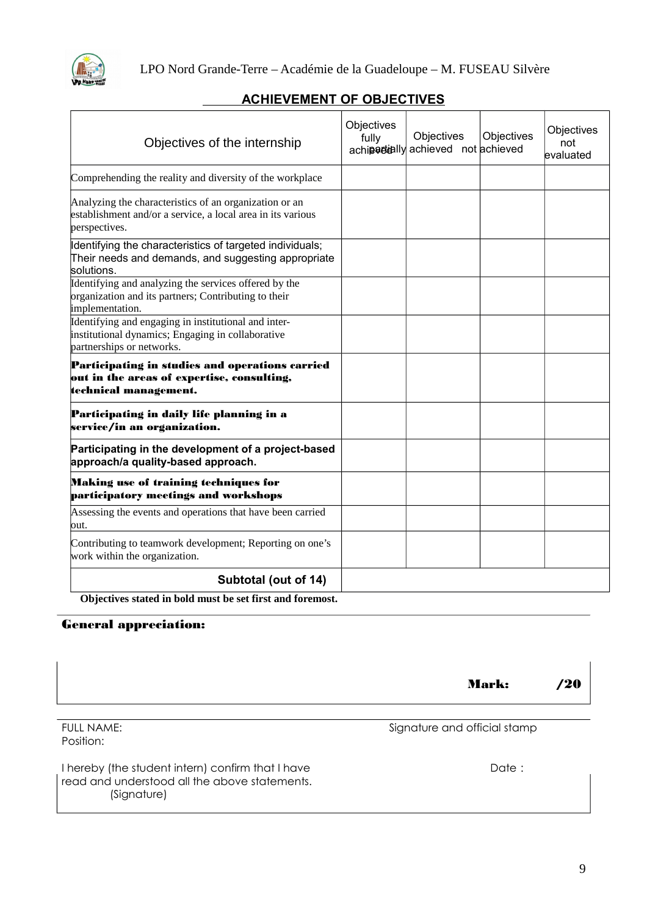

## **ACHIEVEMENT OF OBJECTIVES**

| Objectives of the internship                                                                                                           | Objectives<br>fully | Objectives<br>achipetially achieved not achieved | Objectives | Objectives<br>not<br>evaluated |
|----------------------------------------------------------------------------------------------------------------------------------------|---------------------|--------------------------------------------------|------------|--------------------------------|
| Comprehending the reality and diversity of the workplace                                                                               |                     |                                                  |            |                                |
| Analyzing the characteristics of an organization or an<br>establishment and/or a service, a local area in its various<br>perspectives. |                     |                                                  |            |                                |
| Identifying the characteristics of targeted individuals;<br>Their needs and demands, and suggesting appropriate<br>solutions.          |                     |                                                  |            |                                |
| Identifying and analyzing the services offered by the<br>organization and its partners; Contributing to their<br>implementation.       |                     |                                                  |            |                                |
| Identifying and engaging in institutional and inter-<br>institutional dynamics; Engaging in collaborative<br>partnerships or networks. |                     |                                                  |            |                                |
| Participating in studies and operations carried<br>out in the areas of expertise, consulting,<br>technical management.                 |                     |                                                  |            |                                |
| Participating in daily life planning in a<br>service/in an organization.                                                               |                     |                                                  |            |                                |
| Participating in the development of a project-based<br>approach/a quality-based approach.                                              |                     |                                                  |            |                                |
| Making use of training techniques for<br>participatory meetings and workshops                                                          |                     |                                                  |            |                                |
| Assessing the events and operations that have been carried<br>lout.                                                                    |                     |                                                  |            |                                |
| Contributing to teamwork development; Reporting on one's<br>work within the organization.                                              |                     |                                                  |            |                                |
| Subtotal (out of 14)                                                                                                                   |                     |                                                  |            |                                |

**Objectives stated in bold must be set first and foremost.**

#### General appreciation:

|                                                                                                                   | <b>Mark:</b>                 | '20 |
|-------------------------------------------------------------------------------------------------------------------|------------------------------|-----|
| <b>FULL NAME:</b><br>Position:                                                                                    | Signature and official stamp |     |
| I hereby (the student intern) confirm that I have<br>read and understood all the above statements.<br>(Signature) | Date :                       |     |